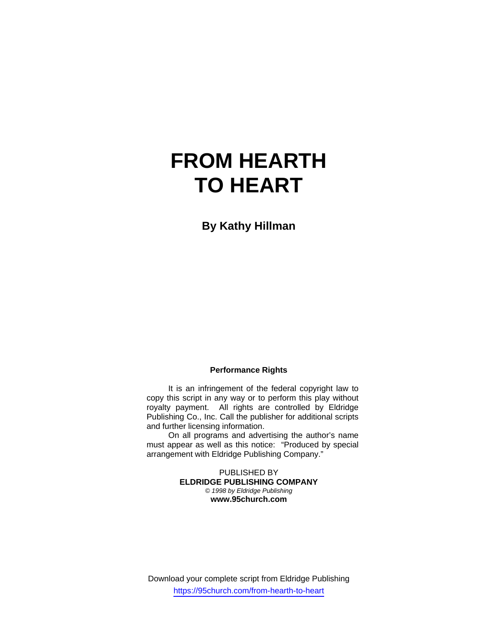# **FROM HEARTH TO HEART**

**By Kathy Hillman** 

#### **Performance Rights**

 It is an infringement of the federal copyright law to copy this script in any way or to perform this play without royalty payment. All rights are controlled by Eldridge Publishing Co., Inc. Call the publisher for additional scripts and further licensing information.

 On all programs and advertising the author's name must appear as well as this notice: "Produced by special arrangement with Eldridge Publishing Company."

> PUBLISHED BY **ELDRIDGE PUBLISHING COMPANY**  *© 1998 by Eldridge Publishing*  **www.95church.com**

Download your complete script from Eldridge Publishing https://95church.com/from-hearth-to-heart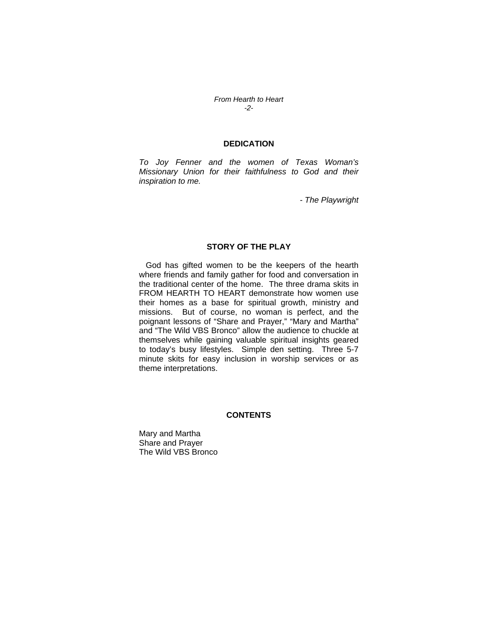*From Hearth to Heart -2-* 

#### **DEDICATION**

*To Joy Fenner and the women of Texas Woman's Missionary Union for their faithfulness to God and their inspiration to me.* 

*- The Playwright* 

### **STORY OF THE PLAY**

 God has gifted women to be the keepers of the hearth where friends and family gather for food and conversation in the traditional center of the home. The three drama skits in FROM HEARTH TO HEART demonstrate how women use their homes as a base for spiritual growth, ministry and missions. But of course, no woman is perfect, and the poignant lessons of "Share and Prayer," "Mary and Martha" and "The Wild VBS Bronco" allow the audience to chuckle at themselves while gaining valuable spiritual insights geared to today's busy lifestyles. Simple den setting. Three 5-7 minute skits for easy inclusion in worship services or as theme interpretations.

#### **CONTENTS**

Mary and Martha Share and Prayer The Wild VBS Bronco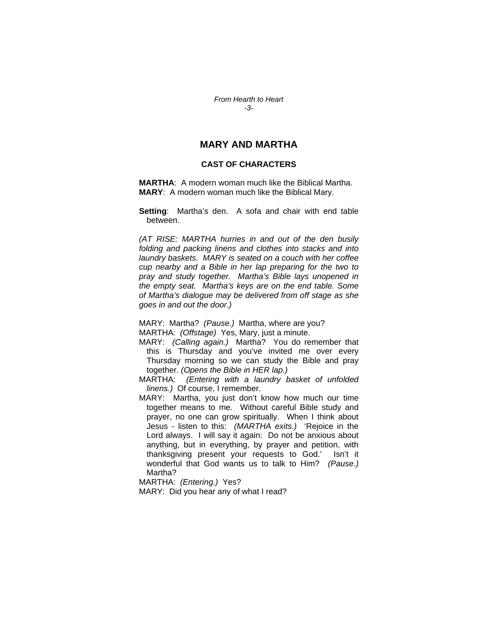*From Hearth to Heart -3-* 

## **MARY AND MARTHA**

#### **CAST OF CHARACTERS**

**MARTHA**: A modern woman much like the Biblical Martha. **MARY**: A modern woman much like the Biblical Mary.

**Setting**: Martha's den. A sofa and chair with end table between.

*(AT RISE: MARTHA hurries in and out of the den busily folding and packing linens and clothes into stacks and into laundry baskets. MARY is seated on a couch with her coffee cup nearby and a Bible in her lap preparing for the two to pray and study together. Martha's Bible lays unopened in the empty seat. Martha's keys are on the end table. Some of Martha's dialogue may be delivered from off stage as she goes in and out the door.)* 

MARY: Martha? *(Pause.)* Martha, where are you? MARTHA: *(Offstage)* Yes, Mary, just a minute.

MARY: *(Calling again.)* Martha? You do remember that this is Thursday and you've invited me over every Thursday morning so we can study the Bible and pray together. *(Opens the Bible in HER lap.)* 

MARTHA: *(Entering with a laundry basket of unfolded linens.)* Of course, I remember.

MARY: Martha, you just don't know how much our time together means to me. Without careful Bible study and prayer, no one can grow spiritually. When I think about Jesus - listen to this: *(MARTHA exits.)* 'Rejoice in the Lord always. I will say it again: Do not be anxious about anything, but in everything, by prayer and petition, with thanksgiving present your requests to God.' Isn't it wonderful that God wants us to talk to Him? *(Pause.)* Martha?

MARTHA: *(Entering.)* Yes?

MARY: Did you hear any of what I read?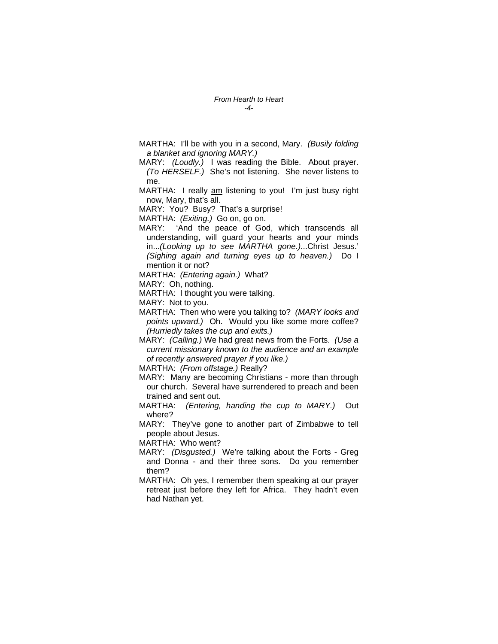- MARTHA: I'll be with you in a second, Mary. *(Busily folding a blanket and ignoring MARY.)*
- MARY: *(Loudly.)* I was reading the Bible. About prayer. *(To HERSELF.)* She's not listening. She never listens to me.
- MARTHA: I really am listening to you! I'm just busy right now, Mary, that's all.
- MARY: You? Busy? That's a surprise!
- MARTHA: *(Exiting.)* Go on, go on.
- MARY: 'And the peace of God, which transcends all understanding, will guard your hearts and your minds in...*(Looking up to see MARTHA gone.)*...Christ Jesus.' *(Sighing again and turning eyes up to heaven.)* Do I mention it or not?

MARTHA: *(Entering again.)* What?

MARY: Oh, nothing.

MARTHA: I thought you were talking.

MARY: Not to you.

- MARTHA: Then who were you talking to? *(MARY looks and points upward.)* Oh. Would you like some more coffee? *(Hurriedly takes the cup and exits.)*
- MARY: *(Calling.)* We had great news from the Forts. *(Use a current missionary known to the audience and an example of recently answered prayer if you like.)*

MARTHA: *(From offstage.)* Really?

- MARY: Many are becoming Christians more than through our church. Several have surrendered to preach and been trained and sent out.
- MARTHA: *(Entering, handing the cup to MARY.)* Out where?
- MARY: They've gone to another part of Zimbabwe to tell people about Jesus.

MARTHA: Who went?

- MARY: *(Disgusted.)* We're talking about the Forts Greg and Donna - and their three sons. Do you remember them?
- MARTHA: Oh yes, I remember them speaking at our prayer retreat just before they left for Africa. They hadn't even had Nathan yet.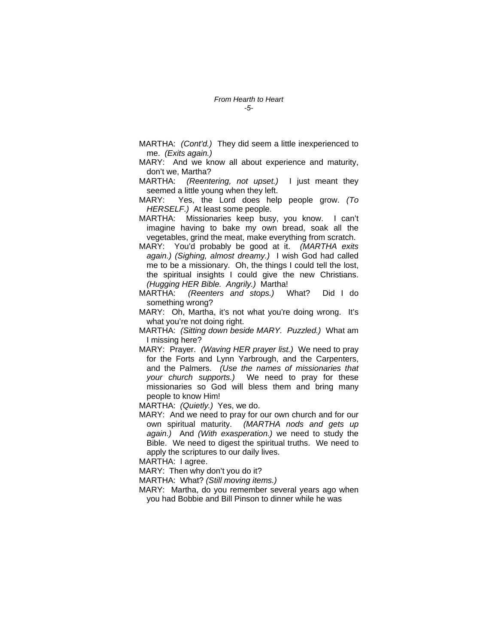- MARTHA: *(Cont'd.)* They did seem a little inexperienced to me. *(Exits again.)*
- MARY: And we know all about experience and maturity, don't we, Martha?
- MARTHA: *(Reentering, not upset.)* I just meant they seemed a little young when they left.
- MARY: Yes, the Lord does help people grow. *(To HERSELF.)* At least some people.
- MARTHA: Missionaries keep busy, you know. I can't imagine having to bake my own bread, soak all the vegetables, grind the meat, make everything from scratch.
- MARY: You'd probably be good at it. *(MARTHA exits again.) (Sighing, almost dreamy.)* I wish God had called me to be a missionary. Oh, the things I could tell the lost, the spiritual insights I could give the new Christians. *(Hugging HER Bible. Angrily.)* Martha!
- MARTHA: *(Reenters and stops.)* What? Did I do something wrong?
- MARY: Oh, Martha, it's not what you're doing wrong. It's what you're not doing right.
- MARTHA: *(Sitting down beside MARY. Puzzled.)* What am I missing here?
- MARY: Prayer. *(Waving HER prayer list.)* We need to pray for the Forts and Lynn Yarbrough, and the Carpenters, and the Palmers. *(Use the names of missionaries that your church supports.)* We need to pray for these missionaries so God will bless them and bring many people to know Him!

MARTHA: *(Quietly.)* Yes, we do.

MARY: And we need to pray for our own church and for our own spiritual maturity. *(MARTHA nods and gets up again.)* And *(With exasperation.)* we need to study the Bible. We need to digest the spiritual truths. We need to apply the scriptures to our daily lives.

MARTHA: I agree.

MARY: Then why don't you do it?

MARTHA: What? *(Still moving items.)* 

MARY: Martha, do you remember several years ago when you had Bobbie and Bill Pinson to dinner while he was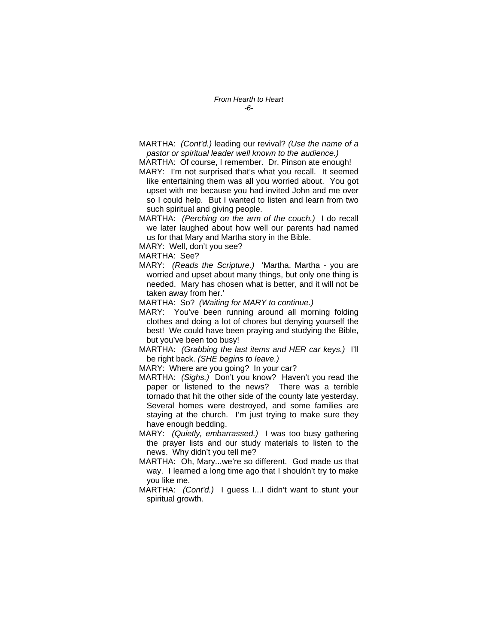MARTHA: *(Cont'd.)* leading our revival? *(Use the name of a pastor or spiritual leader well known to the audience.)* 

MARTHA: Of course, I remember. Dr. Pinson ate enough!

MARY: I'm not surprised that's what you recall. It seemed like entertaining them was all you worried about. You got upset with me because you had invited John and me over so I could help. But I wanted to listen and learn from two such spiritual and giving people.

- MARTHA: *(Perching on the arm of the couch.)* I do recall we later laughed about how well our parents had named us for that Mary and Martha story in the Bible.
- MARY: Well, don't you see?

MARTHA: See?

MARY: *(Reads the Scripture.)* 'Martha, Martha - you are worried and upset about many things, but only one thing is needed. Mary has chosen what is better, and it will not be taken away from her.'

MARTHA: So? *(Waiting for MARY to continue.)* 

MARY: You've been running around all morning folding clothes and doing a lot of chores but denying yourself the best! We could have been praying and studying the Bible, but you've been too busy!

MARTHA: *(Grabbing the last items and HER car keys.)* I'll be right back. *(SHE begins to leave.)* 

MARY: Where are you going? In your car?

- MARTHA: *(Sighs.)* Don't you know? Haven't you read the paper or listened to the news? There was a terrible tornado that hit the other side of the county late yesterday. Several homes were destroyed, and some families are staying at the church. I'm just trying to make sure they have enough bedding.
- MARY: *(Quietly, embarrassed.)* I was too busy gathering the prayer lists and our study materials to listen to the news. Why didn't you tell me?
- MARTHA: Oh, Mary...we're so different. God made us that way. I learned a long time ago that I shouldn't try to make you like me.
- MARTHA: *(Cont'd.)* I guess I...I didn't want to stunt your spiritual growth.